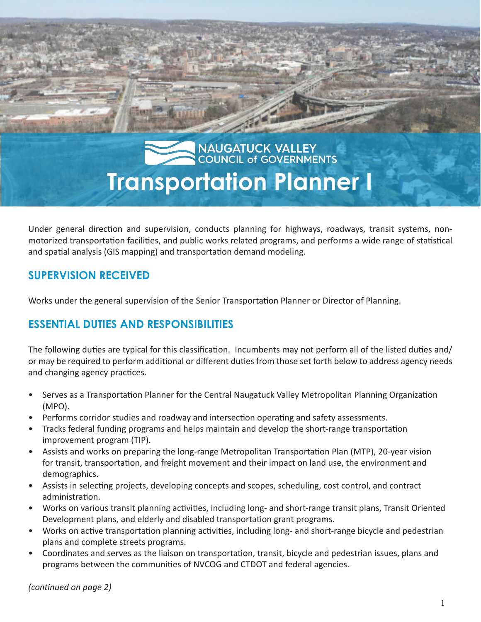# NAUGATUCK VALLEY **Transportation Planner I**

Under general direction and supervision, conducts planning for highways, roadways, transit systems, nonmotorized transportation facilities, and public works related programs, and performs a wide range of statistical and spatial analysis (GIS mapping) and transportation demand modeling.

# **SUPERVISION RECEIVED**

Works under the general supervision of the Senior Transportation Planner or Director of Planning.

# **ESSENTIAL DUTIES AND RESPONSIBILITIES**

The following duties are typical for this classification. Incumbents may not perform all of the listed duties and/ or may be required to perform additional or different duties from those set forth below to address agency needs and changing agency practices.

- Serves as a Transportation Planner for the Central Naugatuck Valley Metropolitan Planning Organization (MPO).
- Performs corridor studies and roadway and intersection operating and safety assessments.
- Tracks federal funding programs and helps maintain and develop the short-range transportation improvement program (TIP).
- Assists and works on preparing the long-range Metropolitan Transportation Plan (MTP), 20-year vision for transit, transportation, and freight movement and their impact on land use, the environment and demographics.
- Assists in selecting projects, developing concepts and scopes, scheduling, cost control, and contract administration.
- Works on various transit planning activities, including long- and short-range transit plans, Transit Oriented Development plans, and elderly and disabled transportation grant programs.
- Works on active transportation planning activities, including long- and short-range bicycle and pedestrian plans and complete streets programs.
- Coordinates and serves as the liaison on transportation, transit, bicycle and pedestrian issues, plans and programs between the communities of NVCOG and CTDOT and federal agencies.

*(continued on page 2)*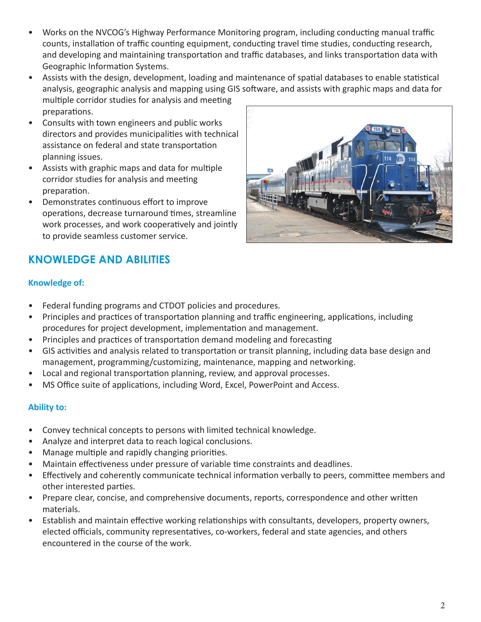- Works on the NVCOG's Highway Performance Monitoring program, including conducting manual traffic counts, installation of traffic counting equipment, conducting travel time studies, conducting research, and developing and maintaining transportation and traffic databases, and links transportation data with Geographic Information Systems.
- Assists with the design, development, loading and maintenance of spatial databases to enable statistical analysis, geographic analysis and mapping using GIS software, and assists with graphic maps and data for multiple corridor studies for analysis and meeting preparations.
- Consults with town engineers and public works directors and provides municipalities with technical assistance on federal and state transportation planning issues.
- Assists with graphic maps and data for multiple corridor studies for analysis and meeting preparation.
- Demonstrates continuous effort to improve operations, decrease turnaround times, streamline work processes, and work cooperatively and jointly to provide seamless customer service.



## **Knowledge of:**

- Federal funding programs and CTDOT policies and procedures.
- Principles and practices of transportation planning and traffic engineering, applications, including procedures for project development, implementation and management.
- Principles and practices of transportation demand modeling and forecasting
- GIS activities and analysis related to transportation or transit planning, including data base design and management, programming/customizing, maintenance, mapping and networking.
- Local and regional transportation planning, review, and approval processes.
- MS Office suite of applications, including Word, Excel, PowerPoint and Access.

## **Ability to:**

- Convey technical concepts to persons with limited technical knowledge.
- Analyze and interpret data to reach logical conclusions.
- Manage multiple and rapidly changing priorities.
- Maintain effectiveness under pressure of variable time constraints and deadlines.
- Effectively and coherently communicate technical information verbally to peers, committee members and other interested parties.
- Prepare clear, concise, and comprehensive documents, reports, correspondence and other written materials.
- Establish and maintain effective working relationships with consultants, developers, property owners, elected officials, community representatives, co-workers, federal and state agencies, and others encountered in the course of the work.